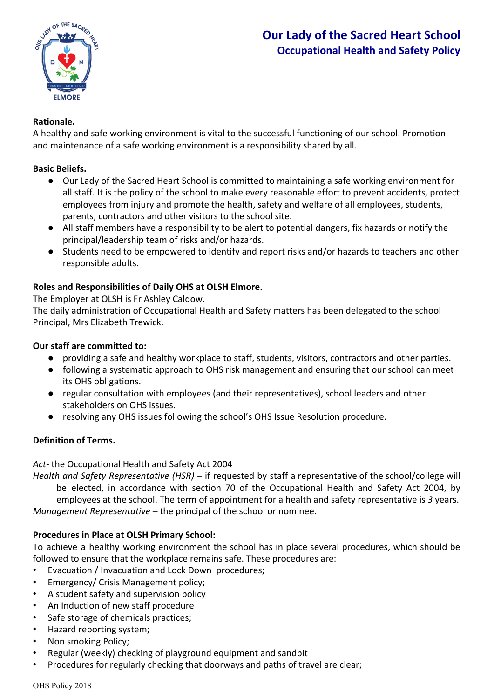

# **Rationale.**

A healthy and safe working environment is vital to the successful functioning of our school. Promotion and maintenance of a safe working environment is a responsibility shared by all.

# **Basic Beliefs.**

- Our Lady of the Sacred Heart School is committed to maintaining a safe working environment for all staff. It is the policy of the school to make every reasonable effort to prevent accidents, protect employees from injury and promote the health, safety and welfare of all employees, students, parents, contractors and other visitors to the school site.
- All staff members have a responsibility to be alert to potential dangers, fix hazards or notify the principal/leadership team of risks and/or hazards.
- Students need to be empowered to identify and report risks and/or hazards to teachers and other responsible adults.

# **Roles and Responsibilities of Daily OHS at OLSH Elmore.**

The Employer at OLSH is Fr Ashley Caldow.

The daily administration of Occupational Health and Safety matters has been delegated to the school Principal, Mrs Elizabeth Trewick.

# **Our staff are committed to:**

- providing a safe and healthy workplace to staff, students, visitors, contractors and other parties.
- following a systematic approach to OHS risk management and ensuring that our school can meet its OHS obligations.
- regular consultation with employees (and their representatives), school leaders and other stakeholders on OHS issues.
- resolving any OHS issues following the school's OHS Issue Resolution procedure.

# **Definition of Terms.**

## *Act-* the Occupational Health and Safety Act 2004

*Health and Safety Representative (HSR) –* if requested by staff a representative of the school/college will be elected, in accordance with section 70 of the Occupational Health and Safety Act 2004, by employees at the school. The term of appointment for a health and safety representative is *3* years. *Management Representative –* the principal of the school or nominee.

## **Procedures in Place at OLSH Primary School:**

To achieve a healthy working environment the school has in place several procedures, which should be followed to ensure that the workplace remains safe. These procedures are:

- Evacuation / Invacuation and Lock Down procedures;
- Emergency/ Crisis Management policy;
- A student safety and supervision policy
- An Induction of new staff procedure
- Safe storage of chemicals practices;
- Hazard reporting system;
- Non smoking Policy;
- Regular (weekly) checking of playground equipment and sandpit
- Procedures for regularly checking that doorways and paths of travel are clear;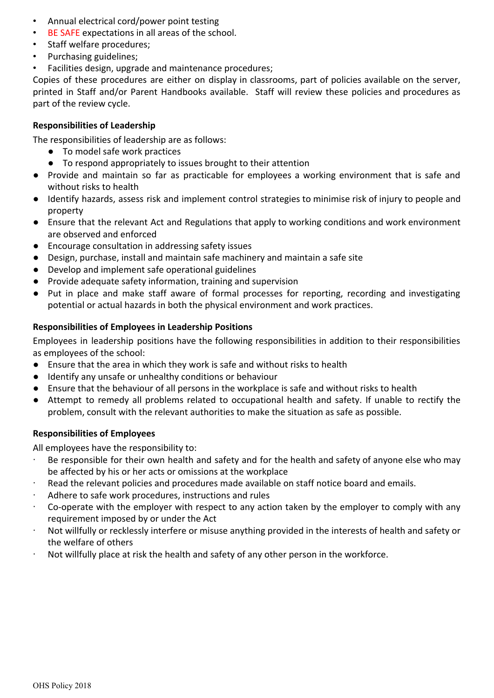- Annual electrical cord/power point testing
- BE SAFE expectations in all areas of the school.
- Staff welfare procedures;
- Purchasing guidelines;
- Facilities design, upgrade and maintenance procedures;

Copies of these procedures are either on display in classrooms, part of policies available on the server, printed in Staff and/or Parent Handbooks available. Staff will review these policies and procedures as part of the review cycle.

#### **Responsibilities of Leadership**

The responsibilities of leadership are as follows:

- To model safe work practices
- To respond appropriately to issues brought to their attention
- Provide and maintain so far as practicable for employees a working environment that is safe and without risks to health
- Identify hazards, assess risk and implement control strategies to minimise risk of injury to people and property
- Ensure that the relevant Act and Regulations that apply to working conditions and work environment are observed and enforced
- Encourage consultation in addressing safety issues
- Design, purchase, install and maintain safe machinery and maintain a safe site
- Develop and implement safe operational guidelines
- Provide adequate safety information, training and supervision
- Put in place and make staff aware of formal processes for reporting, recording and investigating potential or actual hazards in both the physical environment and work practices.

### **Responsibilities of Employees in Leadership Positions**

Employees in leadership positions have the following responsibilities in addition to their responsibilities as employees of the school:

- Ensure that the area in which they work is safe and without risks to health
- Identify any unsafe or unhealthy conditions or behaviour
- Ensure that the behaviour of all persons in the workplace is safe and without risks to health
- Attempt to remedy all problems related to occupational health and safety. If unable to rectify the problem, consult with the relevant authorities to make the situation as safe as possible.

#### **Responsibilities of Employees**

All employees have the responsibility to:

- Be responsible for their own health and safety and for the health and safety of anyone else who may be affected by his or her acts or omissions at the workplace
- · Read the relevant policies and procedures made available on staff notice board and emails.
- Adhere to safe work procedures, instructions and rules
- Co-operate with the employer with respect to any action taken by the employer to comply with any requirement imposed by or under the Act
- Not willfully or recklessly interfere or misuse anything provided in the interests of health and safety or the welfare of others
- · Not willfully place at risk the health and safety of any other person in the workforce.